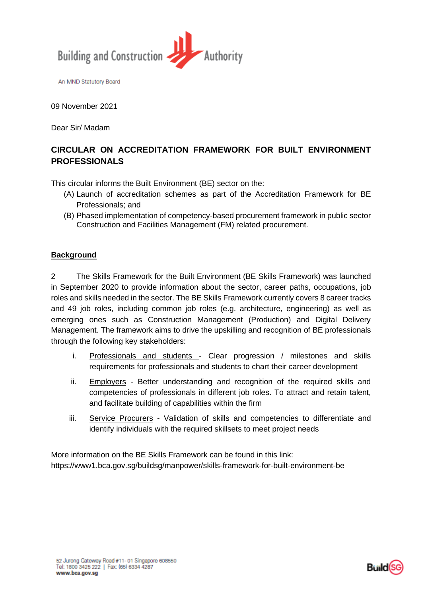

An MND Statutory Board

09 November 2021

Dear Sir/ Madam

# **CIRCULAR ON ACCREDITATION FRAMEWORK FOR BUILT ENVIRONMENT PROFESSIONALS**

This circular informs the Built Environment (BE) sector on the:

- (A) Launch of accreditation schemes as part of the Accreditation Framework for BE Professionals; and
- (B) Phased implementation of competency-based procurement framework in public sector Construction and Facilities Management (FM) related procurement.

#### **Background**

2 The Skills Framework for the Built Environment (BE Skills Framework) was launched in September 2020 to provide information about the sector, career paths, occupations, job roles and skills needed in the sector. The BE Skills Framework currently covers 8 career tracks and 49 job roles, including common job roles (e.g. architecture, engineering) as well as emerging ones such as Construction Management (Production) and Digital Delivery Management. The framework aims to drive the upskilling and recognition of BE professionals through the following key stakeholders:

- i. Professionals and students Clear progression / milestones and skills requirements for professionals and students to chart their career development
- ii. Employers Better understanding and recognition of the required skills and competencies of professionals in different job roles. To attract and retain talent, and facilitate building of capabilities within the firm
- iii. Service Procurers Validation of skills and competencies to differentiate and identify individuals with the required skillsets to meet project needs

More information on the BE Skills Framework can be found in this link: https://www1.bca.gov.sg/buildsg/manpower/skills-framework-for-built-environment-be

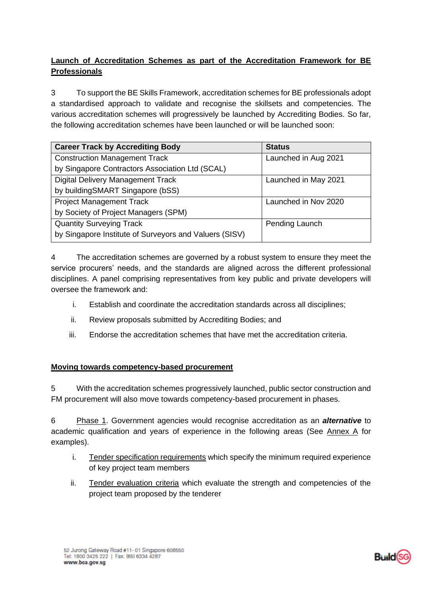## **Launch of Accreditation Schemes as part of the Accreditation Framework for BE Professionals**

3 To support the BE Skills Framework, accreditation schemes for BE professionals adopt a standardised approach to validate and recognise the skillsets and competencies. The various accreditation schemes will progressively be launched by Accrediting Bodies. So far, the following accreditation schemes have been launched or will be launched soon:

| <b>Career Track by Accrediting Body</b>                | <b>Status</b>        |
|--------------------------------------------------------|----------------------|
| <b>Construction Management Track</b>                   | Launched in Aug 2021 |
| by Singapore Contractors Association Ltd (SCAL)        |                      |
| <b>Digital Delivery Management Track</b>               | Launched in May 2021 |
| by buildingSMART Singapore (bSS)                       |                      |
| <b>Project Management Track</b>                        | Launched in Nov 2020 |
| by Society of Project Managers (SPM)                   |                      |
| <b>Quantity Surveying Track</b>                        | Pending Launch       |
| by Singapore Institute of Surveyors and Valuers (SISV) |                      |

4 The accreditation schemes are governed by a robust system to ensure they meet the service procurers' needs, and the standards are aligned across the different professional disciplines. A panel comprising representatives from key public and private developers will oversee the framework and:

- i. Establish and coordinate the accreditation standards across all disciplines;
- ii. Review proposals submitted by Accrediting Bodies; and
- iii. Endorse the accreditation schemes that have met the accreditation criteria.

#### **Moving towards competency-based procurement**

5 With the accreditation schemes progressively launched, public sector construction and FM procurement will also move towards competency-based procurement in phases.

6 Phase 1. Government agencies would recognise accreditation as an *alternative* to academic qualification and years of experience in the following areas (See Annex A for examples).

- i. Tender specification requirements which specify the minimum required experience of key project team members
- ii. Tender evaluation criteria which evaluate the strength and competencies of the project team proposed by the tenderer

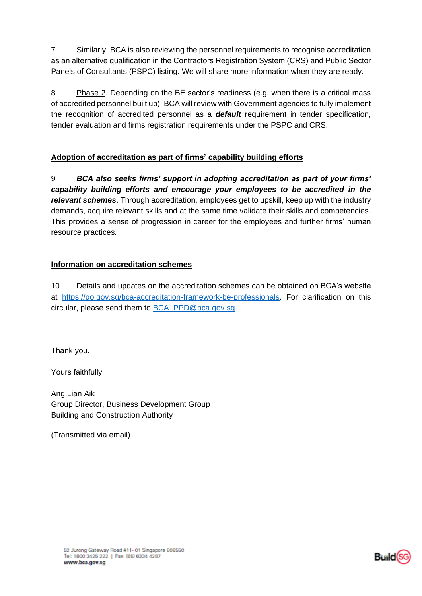7 Similarly, BCA is also reviewing the personnel requirements to recognise accreditation as an alternative qualification in the Contractors Registration System (CRS) and Public Sector Panels of Consultants (PSPC) listing. We will share more information when they are ready.

8 Phase 2. Depending on the BE sector's readiness (e.g. when there is a critical mass of accredited personnel built up), BCA will review with Government agencies to fully implement the recognition of accredited personnel as a *default* requirement in tender specification, tender evaluation and firms registration requirements under the PSPC and CRS.

## **Adoption of accreditation as part of firms' capability building efforts**

9 *BCA also seeks firms' support in adopting accreditation as part of your firms' capability building efforts and encourage your employees to be accredited in the relevant schemes*. Through accreditation, employees get to upskill, keep up with the industry demands, acquire relevant skills and at the same time validate their skills and competencies. This provides a sense of progression in career for the employees and further firms' human resource practices.

### **Information on accreditation schemes**

10 Details and updates on the accreditation schemes can be obtained on BCA's website at [https://go.gov.sg/bca-accreditation-framework-be-professionals.](https://go.gov.sg/bca-accreditation-framework-be-professionals) For clarification on this circular, please send them to [BCA\\_PPD@bca.gov.sg.](mailto:BCA_PPD@bca.gov.sg)

Thank you.

Yours faithfully

Ang Lian Aik Group Director, Business Development Group Building and Construction Authority

(Transmitted via email)